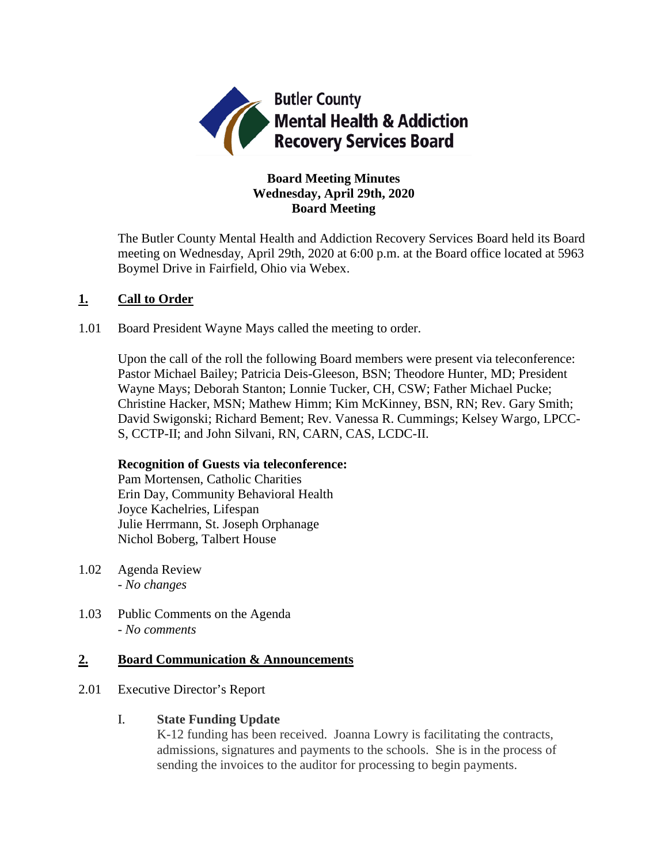

# **Board Meeting Minutes Wednesday, April 29th, 2020 Board Meeting**

The Butler County Mental Health and Addiction Recovery Services Board held its Board meeting on Wednesday, April 29th, 2020 at 6:00 p.m. at the Board office located at 5963 Boymel Drive in Fairfield, Ohio via Webex.

# **1. Call to Order**

1.01 Board President Wayne Mays called the meeting to order.

Upon the call of the roll the following Board members were present via teleconference: Pastor Michael Bailey; Patricia Deis-Gleeson, BSN; Theodore Hunter, MD; President Wayne Mays; Deborah Stanton; Lonnie Tucker, CH, CSW; Father Michael Pucke; Christine Hacker, MSN; Mathew Himm; Kim McKinney, BSN, RN; Rev. Gary Smith; David Swigonski; Richard Bement; Rev. Vanessa R. Cummings; Kelsey Wargo, LPCC-S, CCTP-II; and John Silvani, RN, CARN, CAS, LCDC-II.

# **Recognition of Guests via teleconference:**

Pam Mortensen, Catholic Charities Erin Day, Community Behavioral Health Joyce Kachelries, Lifespan Julie Herrmann, St. Joseph Orphanage Nichol Boberg, Talbert House

- 1.02 Agenda Review *- No changes*
- 1.03 Public Comments on the Agenda - *No comments*

# **2. Board Communication & Announcements**

- 2.01 Executive Director's Report
	- I. **State Funding Update**

K-12 funding has been received. Joanna Lowry is facilitating the contracts, admissions, signatures and payments to the schools. She is in the process of sending the invoices to the auditor for processing to begin payments.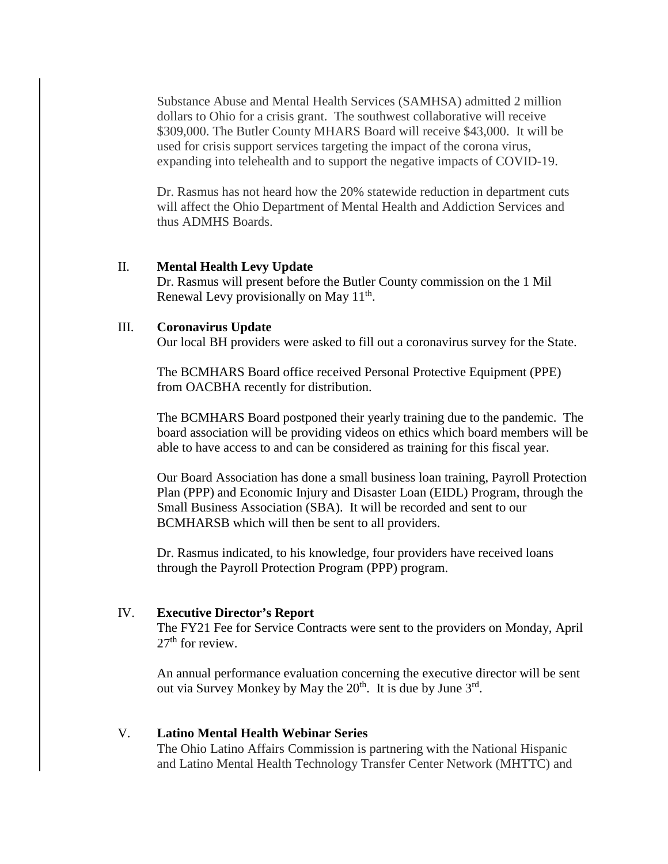Substance Abuse and Mental Health Services (SAMHSA) admitted 2 million dollars to Ohio for a crisis grant. The southwest collaborative will receive \$309,000. The Butler County MHARS Board will receive \$43,000. It will be used for crisis support services targeting the impact of the corona virus, expanding into telehealth and to support the negative impacts of COVID-19.

Dr. Rasmus has not heard how the 20% statewide reduction in department cuts will affect the Ohio Department of Mental Health and Addiction Services and thus ADMHS Boards.

#### II. **Mental Health Levy Update**

Dr. Rasmus will present before the Butler County commission on the 1 Mil Renewal Levy provisionally on May  $11<sup>th</sup>$ .

#### III. **Coronavirus Update**

Our local BH providers were asked to fill out a coronavirus survey for the State.

The BCMHARS Board office received Personal Protective Equipment (PPE) from OACBHA recently for distribution.

The BCMHARS Board postponed their yearly training due to the pandemic. The board association will be providing videos on ethics which board members will be able to have access to and can be considered as training for this fiscal year.

Our Board Association has done a small business loan training, Payroll Protection Plan (PPP) and Economic Injury and Disaster Loan (EIDL) Program, through the Small Business Association (SBA). It will be recorded and sent to our BCMHARSB which will then be sent to all providers.

Dr. Rasmus indicated, to his knowledge, four providers have received loans through the Payroll Protection Program (PPP) program.

#### IV. **Executive Director's Report**

The FY21 Fee for Service Contracts were sent to the providers on Monday, April  $27<sup>th</sup>$  for review.

An annual performance evaluation concerning the executive director will be sent out via Survey Monkey by May the  $20^{th}$ . It is due by June  $3^{rd}$ .

# V. **Latino Mental Health Webinar Series**

The Ohio Latino Affairs Commission is partnering with the National Hispanic and Latino Mental Health Technology Transfer Center Network (MHTTC) and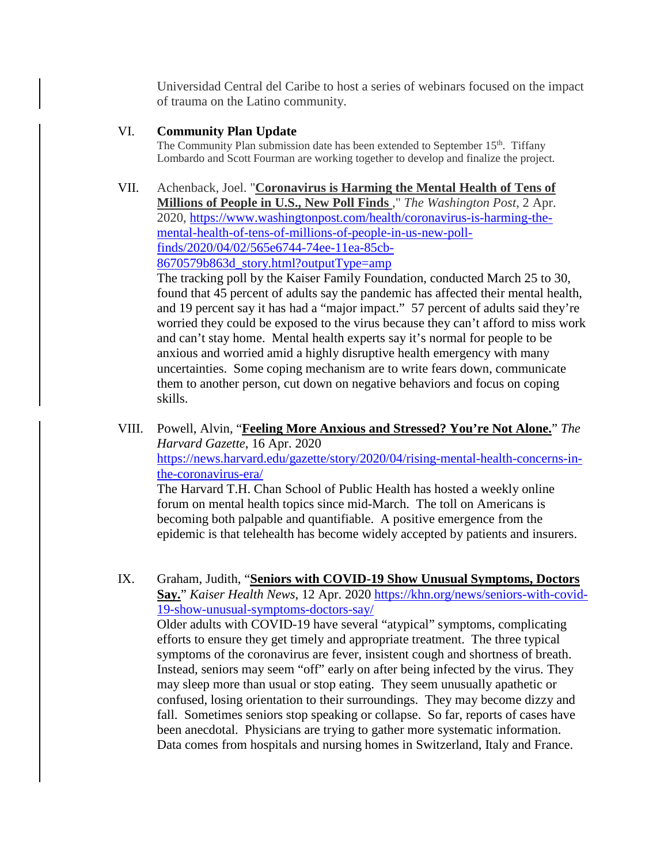Universidad Central del Caribe to host a series of webinars focused on the impact of trauma on the Latino community.

## VI. **Community Plan Update**

The Community Plan submission date has been extended to September  $15<sup>th</sup>$ . Tiffany Lombardo and Scott Fourman are working together to develop and finalize the project.

## VII. Achenback, Joel. "**Coronavirus is Harming the Mental Health of Tens of**

**Millions of People in U.S., New Poll Finds** ," *The Washington Post*, 2 Apr. 2020, [https://www.washingtonpost.com/health/coronavirus-is-harming-the](https://www.washingtonpost.com/health/coronavirus-is-harming-the-mental-health-of-tens-of-millions-of-people-in-us-new-poll-finds/2020/04/02/565e6744-74ee-11ea-85cb-8670579b863d_story.html?outputType=amp)[mental-health-of-tens-of-millions-of-people-in-us-new-poll](https://www.washingtonpost.com/health/coronavirus-is-harming-the-mental-health-of-tens-of-millions-of-people-in-us-new-poll-finds/2020/04/02/565e6744-74ee-11ea-85cb-8670579b863d_story.html?outputType=amp)[finds/2020/04/02/565e6744-74ee-11ea-85cb-](https://www.washingtonpost.com/health/coronavirus-is-harming-the-mental-health-of-tens-of-millions-of-people-in-us-new-poll-finds/2020/04/02/565e6744-74ee-11ea-85cb-8670579b863d_story.html?outputType=amp)[8670579b863d\\_story.html?outputType=amp](https://www.washingtonpost.com/health/coronavirus-is-harming-the-mental-health-of-tens-of-millions-of-people-in-us-new-poll-finds/2020/04/02/565e6744-74ee-11ea-85cb-8670579b863d_story.html?outputType=amp)

The tracking poll by the Kaiser Family Foundation, conducted March 25 to 30, found that 45 percent of adults say the pandemic has affected their mental health, and 19 percent say it has had a "major impact." 57 percent of adults said they're worried they could be exposed to the virus because they can't afford to miss work and can't stay home. Mental health experts say it's normal for people to be anxious and worried amid a highly disruptive health emergency with many uncertainties. Some coping mechanism are to write fears down, communicate them to another person, cut down on negative behaviors and focus on coping skills.

VIII. Powell, Alvin, "**Feeling More Anxious and Stressed? You're Not Alone.**" *The Harvard Gazette*, 16 Apr. 2020 [https://news.harvard.edu/gazette/story/2020/04/rising-mental-health-concerns-in](https://news.harvard.edu/gazette/story/2020/04/rising-mental-health-concerns-in-the-coronavirus-era/)[the-coronavirus-era/](https://news.harvard.edu/gazette/story/2020/04/rising-mental-health-concerns-in-the-coronavirus-era/) The Harvard T.H. Chan School of Public Health has hosted a weekly online forum on mental health topics since mid-March. The toll on Americans is becoming both palpable and quantifiable. A positive emergence from the epidemic is that telehealth has become widely accepted by patients and insurers.

IX. Graham, Judith, "**Seniors with COVID-19 Show Unusual Symptoms, Doctors Say.**" *Kaiser Health News*, 12 Apr. 2020 [https://khn.org/news/seniors-with-covid-](https://khn.org/news/seniors-with-covid-19-show-unusual-symptoms-doctors-say/)[19-show-unusual-symptoms-doctors-say/](https://khn.org/news/seniors-with-covid-19-show-unusual-symptoms-doctors-say/) Older adults with COVID-19 have several "atypical" symptoms, complicating efforts to ensure they get timely and appropriate treatment. The three typical symptoms of the coronavirus are fever, insistent cough and shortness of breath. Instead, seniors may seem "off" early on after being infected by the virus. They may sleep more than usual or stop eating. They seem unusually apathetic or confused, losing orientation to their surroundings. They may become dizzy and fall. Sometimes seniors stop speaking or collapse. So far, reports of cases have been anecdotal. Physicians are trying to gather more systematic information. Data comes from hospitals and nursing homes in Switzerland, Italy and France.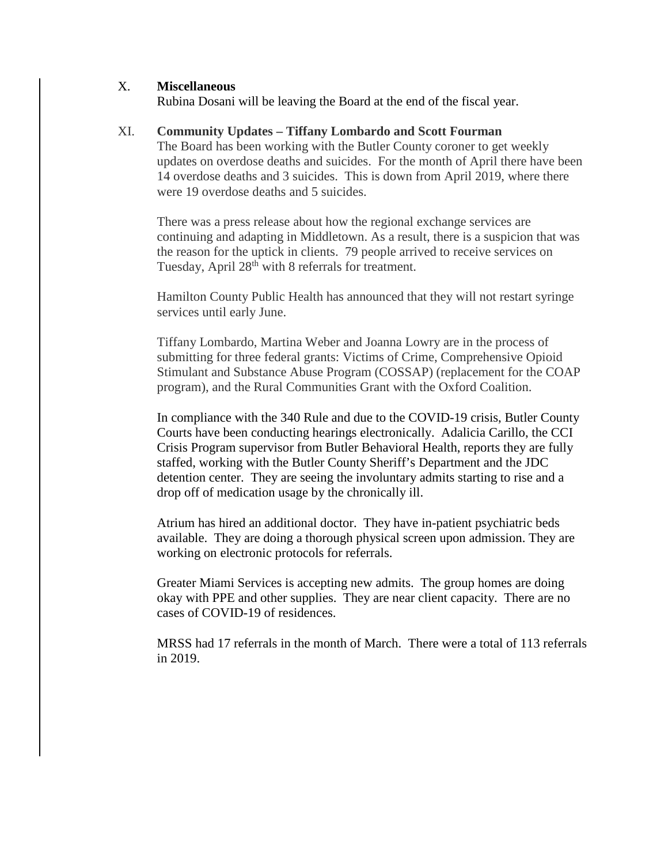## X. **Miscellaneous**

Rubina Dosani will be leaving the Board at the end of the fiscal year.

### XI. **Community Updates – Tiffany Lombardo and Scott Fourman**

The Board has been working with the Butler County coroner to get weekly updates on overdose deaths and suicides. For the month of April there have been 14 overdose deaths and 3 suicides. This is down from April 2019, where there were 19 overdose deaths and 5 suicides.

There was a press release about how the regional exchange services are continuing and adapting in Middletown. As a result, there is a suspicion that was the reason for the uptick in clients. 79 people arrived to receive services on Tuesday, April 28<sup>th</sup> with 8 referrals for treatment.

Hamilton County Public Health has announced that they will not restart syringe services until early June.

Tiffany Lombardo, Martina Weber and Joanna Lowry are in the process of submitting for three federal grants: Victims of Crime, Comprehensive Opioid Stimulant and Substance Abuse Program (COSSAP) (replacement for the COAP program), and the Rural Communities Grant with the Oxford Coalition.

In compliance with the 340 Rule and due to the COVID-19 crisis, Butler County Courts have been conducting hearings electronically. Adalicia Carillo, the CCI Crisis Program supervisor from Butler Behavioral Health, reports they are fully staffed, working with the Butler County Sheriff's Department and the JDC detention center. They are seeing the involuntary admits starting to rise and a drop off of medication usage by the chronically ill.

Atrium has hired an additional doctor. They have in-patient psychiatric beds available. They are doing a thorough physical screen upon admission. They are working on electronic protocols for referrals.

Greater Miami Services is accepting new admits. The group homes are doing okay with PPE and other supplies. They are near client capacity. There are no cases of COVID-19 of residences.

MRSS had 17 referrals in the month of March. There were a total of 113 referrals in 2019.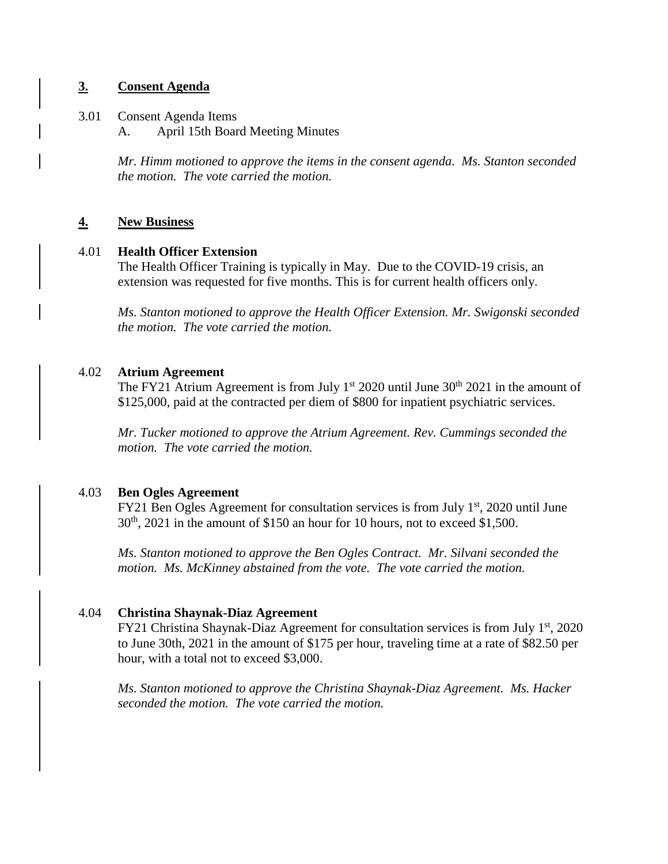## **3. Consent Agenda**

- 3.01 Consent Agenda Items
	- A. April 15th Board Meeting Minutes

*Mr. Himm motioned to approve the items in the consent agenda. Ms. Stanton seconded the motion. The vote carried the motion.*

## **4. New Business**

### 4.01 **Health Officer Extension**

The Health Officer Training is typically in May. Due to the COVID-19 crisis, an extension was requested for five months. This is for current health officers only.

*Ms. Stanton motioned to approve the Health Officer Extension. Mr. Swigonski seconded the motion. The vote carried the motion.*

## 4.02 **Atrium Agreement**

The FY21 Atrium Agreement is from July  $1<sup>st</sup> 2020$  until June  $30<sup>th</sup> 2021$  in the amount of \$125,000, paid at the contracted per diem of \$800 for inpatient psychiatric services.

*Mr. Tucker motioned to approve the Atrium Agreement. Rev. Cummings seconded the motion. The vote carried the motion.*

#### 4.03 **Ben Ogles Agreement**

FY21 Ben Ogles Agreement for consultation services is from July  $1<sup>st</sup>$ , 2020 until June  $30<sup>th</sup>$ , 2021 in the amount of \$150 an hour for 10 hours, not to exceed \$1,500.

*Ms. Stanton motioned to approve the Ben Ogles Contract. Mr. Silvani seconded the motion. Ms. McKinney abstained from the vote. The vote carried the motion.* 

## 4.04 **Christina Shaynak-Diaz Agreement**

FY21 Christina Shaynak-Diaz Agreement for consultation services is from July 1<sup>st</sup>, 2020 to June 30th, 2021 in the amount of \$175 per hour, traveling time at a rate of \$82.50 per hour, with a total not to exceed \$3,000.

*Ms. Stanton motioned to approve the Christina Shaynak-Diaz Agreement. Ms. Hacker seconded the motion. The vote carried the motion.*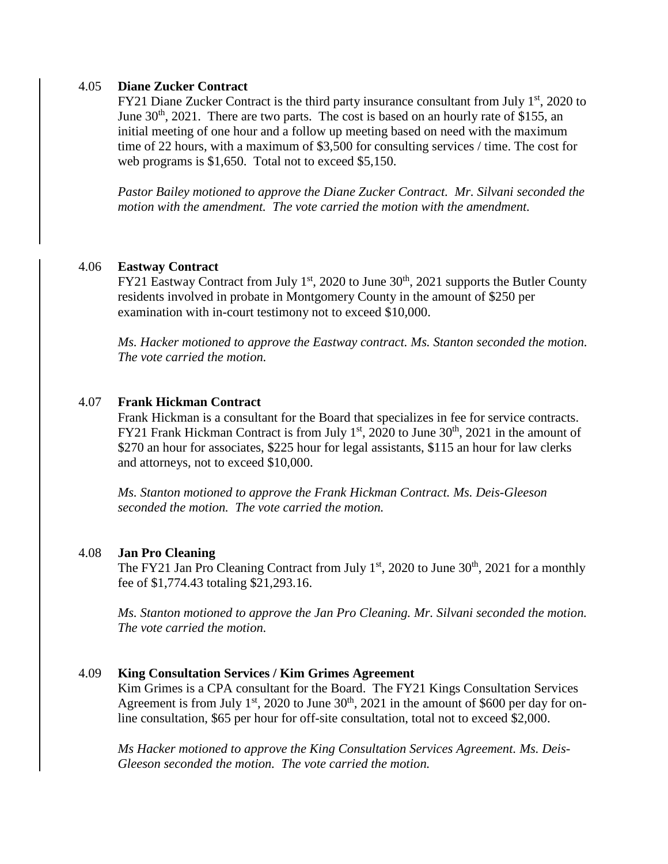#### 4.05 **Diane Zucker Contract**

FY21 Diane Zucker Contract is the third party insurance consultant from July  $1<sup>st</sup>$ , 2020 to June  $30<sup>th</sup>$ , 2021. There are two parts. The cost is based on an hourly rate of \$155, an initial meeting of one hour and a follow up meeting based on need with the maximum time of 22 hours, with a maximum of \$3,500 for consulting services / time. The cost for web programs is \$1,650. Total not to exceed \$5,150.

*Pastor Bailey motioned to approve the Diane Zucker Contract. Mr. Silvani seconded the motion with the amendment. The vote carried the motion with the amendment.*

## 4.06 **Eastway Contract**

FY21 Eastway Contract from July 1<sup>st</sup>, 2020 to June  $30<sup>th</sup>$ , 2021 supports the Butler County residents involved in probate in Montgomery County in the amount of \$250 per examination with in-court testimony not to exceed \$10,000.

*Ms. Hacker motioned to approve the Eastway contract. Ms. Stanton seconded the motion. The vote carried the motion.*

### 4.07 **Frank Hickman Contract**

Frank Hickman is a consultant for the Board that specializes in fee for service contracts. FY21 Frank Hickman Contract is from July  $1<sup>st</sup>$ , 2020 to June 30<sup>th</sup>, 2021 in the amount of \$270 an hour for associates, \$225 hour for legal assistants, \$115 an hour for law clerks and attorneys, not to exceed \$10,000.

*Ms. Stanton motioned to approve the Frank Hickman Contract. Ms. Deis-Gleeson seconded the motion. The vote carried the motion.*

#### 4.08 **Jan Pro Cleaning**

The FY21 Jan Pro Cleaning Contract from July  $1<sup>st</sup>$ , 2020 to June 30<sup>th</sup>, 2021 for a monthly fee of \$1,774.43 totaling \$21,293.16.

*Ms. Stanton motioned to approve the Jan Pro Cleaning. Mr. Silvani seconded the motion. The vote carried the motion.*

#### 4.09 **King Consultation Services / Kim Grimes Agreement**

Kim Grimes is a CPA consultant for the Board. The FY21 Kings Consultation Services Agreement is from July  $1<sup>st</sup>$ , 2020 to June  $30<sup>th</sup>$ , 2021 in the amount of \$600 per day for online consultation, \$65 per hour for off-site consultation, total not to exceed \$2,000.

*Ms Hacker motioned to approve the King Consultation Services Agreement. Ms. Deis-Gleeson seconded the motion. The vote carried the motion.*